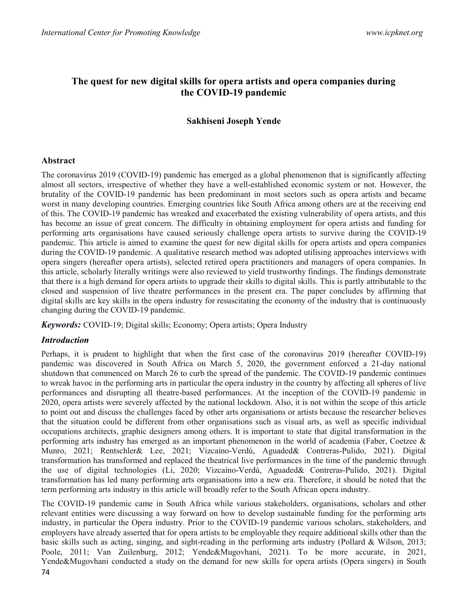# The quest for new digital skills for opera artists and opera companies during the COVID-19 pandemic

### Sakhiseni Joseph Yende

#### Abstract

The coronavirus 2019 (COVID-19) pandemic has emerged as a global phenomenon that is significantly affecting almost all sectors, irrespective of whether they have a well-established economic system or not. However, the brutality of the COVID-19 pandemic has been predominant in most sectors such as opera artists and became worst in many developing countries. Emerging countries like South Africa among others are at the receiving end of this. The COVID-19 pandemic has wreaked and exacerbated the existing vulnerability of opera artists, and this has become an issue of great concern. The difficulty in obtaining employment for opera artists and funding for performing arts organisations have caused seriously challenge opera artists to survive during the COVID-19 pandemic. This article is aimed to examine the quest for new digital skills for opera artists and opera companies during the COVID-19 pandemic. A qualitative research method was adopted utilising approaches interviews with opera singers (hereafter opera artists), selected retired opera practitioners and managers of opera companies. In this article, scholarly literally writings were also reviewed to yield trustworthy findings. The findings demonstrate that there is a high demand for opera artists to upgrade their skills to digital skills. This is partly attributable to the closed and suspension of live theatre performances in the present era. The paper concludes by affirming that digital skills are key skills in the opera industry for resuscitating the economy of the industry that is continuously changing during the COVID-19 pandemic.

Keywords: COVID-19; Digital skills; Economy; Opera artists; Opera Industry

#### Introduction

Perhaps, it is prudent to highlight that when the first case of the coronavirus 2019 (hereafter COVID-19) pandemic was discovered in South Africa on March 5, 2020, the government enforced a 21-day national shutdown that commenced on March 26 to curb the spread of the pandemic. The COVID-19 pandemic continues to wreak havoc in the performing arts in particular the opera industry in the country by affecting all spheres of live performances and disrupting all theatre-based performances. At the inception of the COVID-19 pandemic in 2020, opera artists were severely affected by the national lockdown. Also, it is not within the scope of this article to point out and discuss the challenges faced by other arts organisations or artists because the researcher believes that the situation could be different from other organisations such as visual arts, as well as specific individual occupations architects, graphic designers among others. It is important to state that digital transformation in the performing arts industry has emerged as an important phenomenon in the world of academia (Faber, Coetzee & Munro, 2021; Rentschler& Lee, 2021; Vizcaíno-Verdú, Aguaded& Contreras-Pulido, 2021). Digital transformation has transformed and replaced the theatrical live performances in the time of the pandemic through the use of digital technologies (Li, 2020; Vizcaíno-Verdú, Aguaded& Contreras-Pulido, 2021). Digital transformation has led many performing arts organisations into a new era. Therefore, it should be noted that the term performing arts industry in this article will broadly refer to the South African opera industry.

The COVID-19 pandemic came in South Africa while various stakeholders, organisations, scholars and other relevant entities were discussing a way forward on how to develop sustainable funding for the performing arts industry, in particular the Opera industry. Prior to the COVID-19 pandemic various scholars, stakeholders, and employers have already asserted that for opera artists to be employable they require additional skills other than the basic skills such as acting, singing, and sight-reading in the performing arts industry (Pollard & Wilson, 2013; Poole, 2011; Van Zuilenburg, 2012; Yende&Mugovhani, 2021). To be more accurate, in 2021, Yende&Mugovhani conducted a study on the demand for new skills for opera artists (Opera singers) in South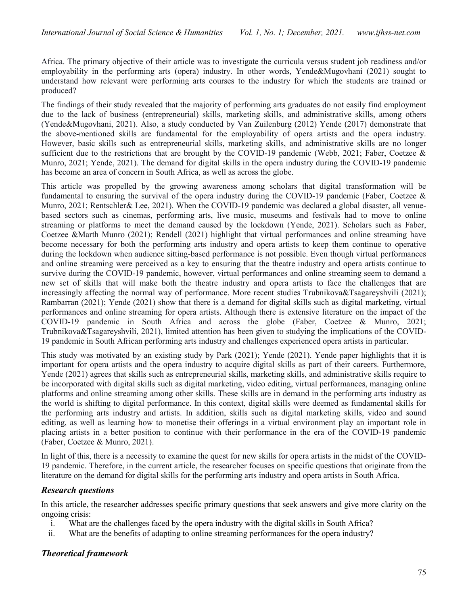Africa. The primary objective of their article was to investigate the curricula versus student job readiness and/or employability in the performing arts (opera) industry. In other words, Yende&Mugovhani (2021) sought to understand how relevant were performing arts courses to the industry for which the students are trained or produced?

The findings of their study revealed that the majority of performing arts graduates do not easily find employment due to the lack of business (entrepreneurial) skills, marketing skills, and administrative skills, among others (Yende&Mugovhani, 2021). Also, a study conducted by Van Zuilenburg (2012) Yende (2017) demonstrate that the above-mentioned skills are fundamental for the employability of opera artists and the opera industry. However, basic skills such as entrepreneurial skills, marketing skills, and administrative skills are no longer sufficient due to the restrictions that are brought by the COVID-19 pandemic (Webb, 2021; Faber, Coetzee & Munro, 2021; Yende, 2021). The demand for digital skills in the opera industry during the COVID-19 pandemic has become an area of concern in South Africa, as well as across the globe.

This article was propelled by the growing awareness among scholars that digital transformation will be fundamental to ensuring the survival of the opera industry during the COVID-19 pandemic (Faber, Coetzee & Munro, 2021; Rentschler& Lee, 2021). When the COVID-19 pandemic was declared a global disaster, all venuebased sectors such as cinemas, performing arts, live music, museums and festivals had to move to online streaming or platforms to meet the demand caused by the lockdown (Yende, 2021). Scholars such as Faber, Coetzee &Marth Munro (2021); Rendell (2021) highlight that virtual performances and online streaming have become necessary for both the performing arts industry and opera artists to keep them continue to operative during the lockdown when audience sitting-based performance is not possible. Even though virtual performances and online streaming were perceived as a key to ensuring that the theatre industry and opera artists continue to survive during the COVID-19 pandemic, however, virtual performances and online streaming seem to demand a new set of skills that will make both the theatre industry and opera artists to face the challenges that are increasingly affecting the normal way of performance. More recent studies Trubnikova&Tsagareyshvili (2021); Rambarran (2021); Yende (2021) show that there is a demand for digital skills such as digital marketing, virtual performances and online streaming for opera artists. Although there is extensive literature on the impact of the COVID-19 pandemic in South Africa and across the globe (Faber, Coetzee & Munro, 2021; Trubnikova&Tsagareyshvili, 2021), limited attention has been given to studying the implications of the COVID-19 pandemic in South African performing arts industry and challenges experienced opera artists in particular.

This study was motivated by an existing study by Park (2021); Yende (2021). Yende paper highlights that it is important for opera artists and the opera industry to acquire digital skills as part of their careers. Furthermore, Yende (2021) agrees that skills such as entrepreneurial skills, marketing skills, and administrative skills require to be incorporated with digital skills such as digital marketing, video editing, virtual performances, managing online platforms and online streaming among other skills. These skills are in demand in the performing arts industry as the world is shifting to digital performance. In this context, digital skills were deemed as fundamental skills for the performing arts industry and artists. In addition, skills such as digital marketing skills, video and sound editing, as well as learning how to monetise their offerings in a virtual environment play an important role in placing artists in a better position to continue with their performance in the era of the COVID-19 pandemic (Faber, Coetzee & Munro, 2021).

In light of this, there is a necessity to examine the quest for new skills for opera artists in the midst of the COVID-19 pandemic. Therefore, in the current article, the researcher focuses on specific questions that originate from the literature on the demand for digital skills for the performing arts industry and opera artists in South Africa.

## Research questions

In this article, the researcher addresses specific primary questions that seek answers and give more clarity on the ongoing crisis:

- i. What are the challenges faced by the opera industry with the digital skills in South Africa?
- ii. What are the benefits of adapting to online streaming performances for the opera industry?

# Theoretical framework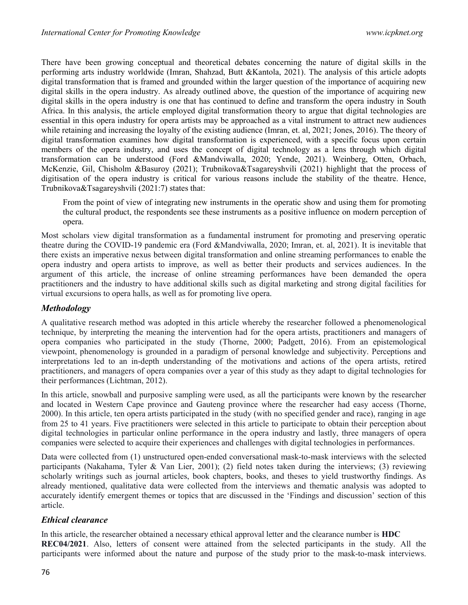There have been growing conceptual and theoretical debates concerning the nature of digital skills in the performing arts industry worldwide (Imran, Shahzad, Butt &Kantola, 2021). The analysis of this article adopts digital transformation that is framed and grounded within the larger question of the importance of acquiring new digital skills in the opera industry. As already outlined above, the question of the importance of acquiring new digital skills in the opera industry is one that has continued to define and transform the opera industry in South Africa. In this analysis, the article employed digital transformation theory to argue that digital technologies are essential in this opera industry for opera artists may be approached as a vital instrument to attract new audiences while retaining and increasing the loyalty of the existing audience (Imran, et. al, 2021; Jones, 2016). The theory of digital transformation examines how digital transformation is experienced, with a specific focus upon certain members of the opera industry, and uses the concept of digital technology as a lens through which digital transformation can be understood (Ford &Mandviwalla, 2020; Yende, 2021). Weinberg, Otten, Orbach, McKenzie, Gil, Chisholm &Basuroy (2021); Trubnikova&Tsagareyshvili (2021) highlight that the process of digitisation of the opera industry is critical for various reasons include the stability of the theatre. Hence, Trubnikova&Tsagareyshvili (2021:7) states that:

From the point of view of integrating new instruments in the operatic show and using them for promoting the cultural product, the respondents see these instruments as a positive influence on modern perception of opera.

Most scholars view digital transformation as a fundamental instrument for promoting and preserving operatic theatre during the COVID-19 pandemic era (Ford &Mandviwalla, 2020; Imran, et. al, 2021). It is inevitable that there exists an imperative nexus between digital transformation and online streaming performances to enable the opera industry and opera artists to improve, as well as better their products and services audiences. In the argument of this article, the increase of online streaming performances have been demanded the opera practitioners and the industry to have additional skills such as digital marketing and strong digital facilities for virtual excursions to opera halls, as well as for promoting live opera.

## Methodology

A qualitative research method was adopted in this article whereby the researcher followed a phenomenological technique, by interpreting the meaning the intervention had for the opera artists, practitioners and managers of opera companies who participated in the study (Thorne, 2000; Padgett, 2016). From an epistemological viewpoint, phenomenology is grounded in a paradigm of personal knowledge and subjectivity. Perceptions and interpretations led to an in-depth understanding of the motivations and actions of the opera artists, retired practitioners, and managers of opera companies over a year of this study as they adapt to digital technologies for their performances (Lichtman, 2012).

In this article, snowball and purposive sampling were used, as all the participants were known by the researcher and located in Western Cape province and Gauteng province where the researcher had easy access (Thorne, 2000). In this article, ten opera artists participated in the study (with no specified gender and race), ranging in age from 25 to 41 years. Five practitioners were selected in this article to participate to obtain their perception about digital technologies in particular online performance in the opera industry and lastly, three managers of opera companies were selected to acquire their experiences and challenges with digital technologies in performances.

Data were collected from (1) unstructured open-ended conversational mask-to-mask interviews with the selected participants (Nakahama, Tyler & Van Lier, 2001); (2) field notes taken during the interviews; (3) reviewing scholarly writings such as journal articles, book chapters, books, and theses to yield trustworthy findings. As already mentioned, qualitative data were collected from the interviews and thematic analysis was adopted to accurately identify emergent themes or topics that are discussed in the 'Findings and discussion' section of this article.

# Ethical clearance

In this article, the researcher obtained a necessary ethical approval letter and the clearance number is HDC REC04/2021. Also, letters of consent were attained from the selected participants in the study. All the participants were informed about the nature and purpose of the study prior to the mask-to-mask interviews.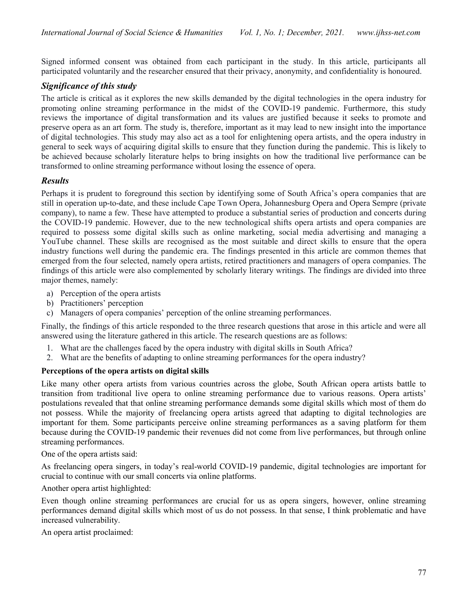Signed informed consent was obtained from each participant in the study. In this article, participants all participated voluntarily and the researcher ensured that their privacy, anonymity, and confidentiality is honoured.

# Significance of this study

The article is critical as it explores the new skills demanded by the digital technologies in the opera industry for promoting online streaming performance in the midst of the COVID-19 pandemic. Furthermore, this study reviews the importance of digital transformation and its values are justified because it seeks to promote and preserve opera as an art form. The study is, therefore, important as it may lead to new insight into the importance of digital technologies. This study may also act as a tool for enlightening opera artists, and the opera industry in general to seek ways of acquiring digital skills to ensure that they function during the pandemic. This is likely to be achieved because scholarly literature helps to bring insights on how the traditional live performance can be transformed to online streaming performance without losing the essence of opera.

# Results

Perhaps it is prudent to foreground this section by identifying some of South Africa's opera companies that are still in operation up-to-date, and these include Cape Town Opera, Johannesburg Opera and Opera Sempre (private company), to name a few. These have attempted to produce a substantial series of production and concerts during the COVID-19 pandemic. However, due to the new technological shifts opera artists and opera companies are required to possess some digital skills such as online marketing, social media advertising and managing a YouTube channel. These skills are recognised as the most suitable and direct skills to ensure that the opera industry functions well during the pandemic era. The findings presented in this article are common themes that emerged from the four selected, namely opera artists, retired practitioners and managers of opera companies. The findings of this article were also complemented by scholarly literary writings. The findings are divided into three major themes, namely:

- a) Perception of the opera artists
- b) Practitioners' perception
- c) Managers of opera companies' perception of the online streaming performances.

Finally, the findings of this article responded to the three research questions that arose in this article and were all answered using the literature gathered in this article. The research questions are as follows:

- 1. What are the challenges faced by the opera industry with digital skills in South Africa?
- 2. What are the benefits of adapting to online streaming performances for the opera industry?

#### Perceptions of the opera artists on digital skills

Like many other opera artists from various countries across the globe, South African opera artists battle to transition from traditional live opera to online streaming performance due to various reasons. Opera artists' postulations revealed that that online streaming performance demands some digital skills which most of them do not possess. While the majority of freelancing opera artists agreed that adapting to digital technologies are important for them. Some participants perceive online streaming performances as a saving platform for them because during the COVID-19 pandemic their revenues did not come from live performances, but through online streaming performances.

One of the opera artists said:

As freelancing opera singers, in today's real-world COVID-19 pandemic, digital technologies are important for crucial to continue with our small concerts via online platforms.

Another opera artist highlighted:

Even though online streaming performances are crucial for us as opera singers, however, online streaming performances demand digital skills which most of us do not possess. In that sense, I think problematic and have increased vulnerability.

An opera artist proclaimed: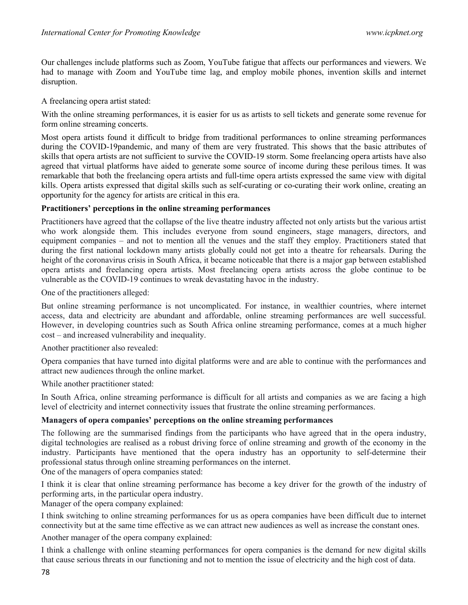Our challenges include platforms such as Zoom, YouTube fatigue that affects our performances and viewers. We had to manage with Zoom and YouTube time lag, and employ mobile phones, invention skills and internet disruption.

A freelancing opera artist stated:

With the online streaming performances, it is easier for us as artists to sell tickets and generate some revenue for form online streaming concerts.

Most opera artists found it difficult to bridge from traditional performances to online streaming performances during the COVID-19pandemic, and many of them are very frustrated. This shows that the basic attributes of skills that opera artists are not sufficient to survive the COVID-19 storm. Some freelancing opera artists have also agreed that virtual platforms have aided to generate some source of income during these perilous times. It was remarkable that both the freelancing opera artists and full-time opera artists expressed the same view with digital kills. Opera artists expressed that digital skills such as self-curating or co-curating their work online, creating an opportunity for the agency for artists are critical in this era.

#### Practitioners' perceptions in the online streaming performances

Practitioners have agreed that the collapse of the live theatre industry affected not only artists but the various artist who work alongside them. This includes everyone from sound engineers, stage managers, directors, and equipment companies – and not to mention all the venues and the staff they employ. Practitioners stated that during the first national lockdown many artists globally could not get into a theatre for rehearsals. During the height of the coronavirus crisis in South Africa, it became noticeable that there is a major gap between established opera artists and freelancing opera artists. Most freelancing opera artists across the globe continue to be vulnerable as the COVID-19 continues to wreak devastating havoc in the industry.

One of the practitioners alleged:

But online streaming performance is not uncomplicated. For instance, in wealthier countries, where internet access, data and electricity are abundant and affordable, online streaming performances are well successful. However, in developing countries such as South Africa online streaming performance, comes at a much higher cost – and increased vulnerability and inequality.

Another practitioner also revealed:

Opera companies that have turned into digital platforms were and are able to continue with the performances and attract new audiences through the online market.

While another practitioner stated:

In South Africa, online streaming performance is difficult for all artists and companies as we are facing a high level of electricity and internet connectivity issues that frustrate the online streaming performances.

#### Managers of opera companies' perceptions on the online streaming performances

The following are the summarised findings from the participants who have agreed that in the opera industry, digital technologies are realised as a robust driving force of online streaming and growth of the economy in the industry. Participants have mentioned that the opera industry has an opportunity to self-determine their professional status through online streaming performances on the internet. One of the managers of opera companies stated:

I think it is clear that online streaming performance has become a key driver for the growth of the industry of performing arts, in the particular opera industry.

Manager of the opera company explained:

I think switching to online streaming performances for us as opera companies have been difficult due to internet connectivity but at the same time effective as we can attract new audiences as well as increase the constant ones.

Another manager of the opera company explained:

I think a challenge with online steaming performances for opera companies is the demand for new digital skills that cause serious threats in our functioning and not to mention the issue of electricity and the high cost of data.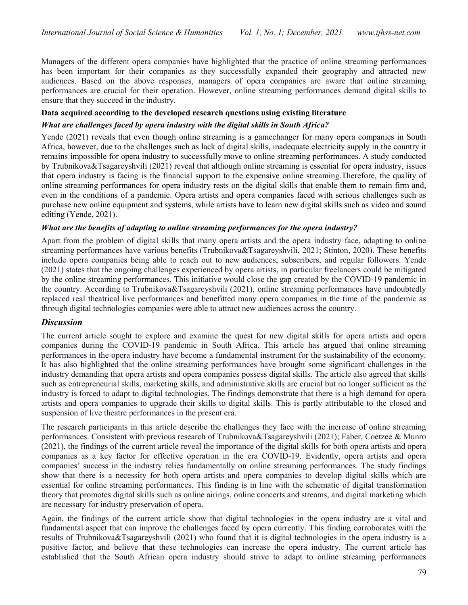Managers of the different opera companies have highlighted that the practice of online streaming performances has been important for their companies as they successfully expanded their geography and attracted new audiences. Based on the above responses, managers of opera companies are aware that online streaming performances are crucial for their operation. However, online streaming performances demand digital skills to ensure that they succeed in the industry.

### Data acquired according to the developed research questions using existing literature

### What are challenges faced by opera industry with the digital skills in South Africa?

Yende (2021) reveals that even though online streaming is a gamechanger for many opera companies in South Africa, however, due to the challenges such as lack of digital skills, inadequate electricity supply in the country it remains impossible for opera industry to successfully move to online streaming performances. A study conducted by Trubnikova&Tsagareyshvili (2021) reveal that although online streaming is essential for opera industry, issues that opera industry is facing is the financial support to the expensive online streaming.Therefore, the quality of online streaming performances for opera industry rests on the digital skills that enable them to remain firm and, even in the conditions of a pandemic. Opera artists and opera companies faced with serious challenges such as purchase new online equipment and systems, while artists have to learn new digital skills such as video and sound editing (Yende, 2021).

### What are the benefits of adapting to online streaming performances for the opera industry?

Apart from the problem of digital skills that many opera artists and the opera industry face, adapting to online streaming performances have various benefits (Trubnikova&Tsagareyshvili, 2021; Stinton, 2020). These benefits include opera companies being able to reach out to new audiences, subscribers, and regular followers. Yende (2021) states that the ongoing challenges experienced by opera artists, in particular freelancers could be mitigated by the online streaming performances. This initiative would close the gap created by the COVID-19 pandemic in the country. According to Trubnikova&Tsagareyshvili (2021), online streaming performances have undoubtedly replaced real theatrical live performances and benefitted many opera companies in the time of the pandemic as through digital technologies companies were able to attract new audiences across the country.

## **Discussion**

The current article sought to explore and examine the quest for new digital skills for opera artists and opera companies during the COVID-19 pandemic in South Africa. This article has argued that online streaming performances in the opera industry have become a fundamental instrument for the sustainability of the economy. It has also highlighted that the online streaming performances have brought some significant challenges in the industry demanding that opera artists and opera companies possess digital skills. The article also agreed that skills such as entrepreneurial skills, marketing skills, and administrative skills are crucial but no longer sufficient as the industry is forced to adapt to digital technologies. The findings demonstrate that there is a high demand for opera artists and opera companies to upgrade their skills to digital skills. This is partly attributable to the closed and suspension of live theatre performances in the present era.

The research participants in this article describe the challenges they face with the increase of online streaming performances. Consistent with previous research of Trubnikova&Tsagareyshvili (2021); Faber, Coetzee & Munro (2021), the findings of the current article reveal the importance of the digital skills for both opera artists and opera companies as a key factor for effective operation in the era COVID-19. Evidently, opera artists and opera companies' success in the industry relies fundamentally on online streaming performances. The study findings show that there is a necessity for both opera artists and opera companies to develop digital skills which are essential for online streaming performances. This finding is in line with the schematic of digital transformation theory that promotes digital skills such as online airings, online concerts and streams, and digital marketing which are necessary for industry preservation of opera.

Again, the findings of the current article show that digital technologies in the opera industry are a vital and fundamental aspect that can improve the challenges faced by opera currently. This finding corroborates with the results of Trubnikova&Tsagareyshvili (2021) who found that it is digital technologies in the opera industry is a positive factor, and believe that these technologies can increase the opera industry. The current article has established that the South African opera industry should strive to adapt to online streaming performances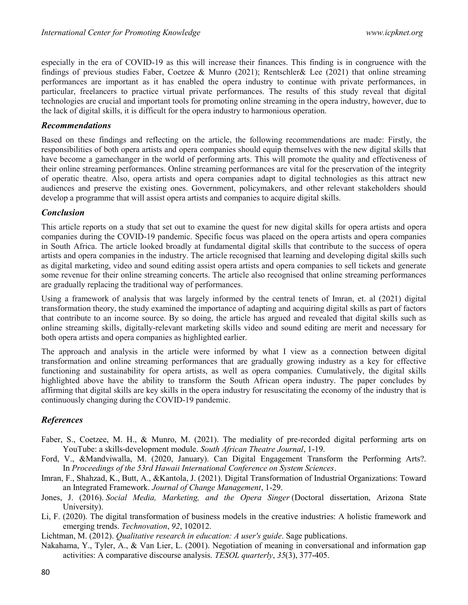especially in the era of COVID-19 as this will increase their finances. This finding is in congruence with the findings of previous studies Faber, Coetzee & Munro (2021); Rentschler& Lee (2021) that online streaming performances are important as it has enabled the opera industry to continue with private performances, in particular, freelancers to practice virtual private performances. The results of this study reveal that digital technologies are crucial and important tools for promoting online streaming in the opera industry, however, due to the lack of digital skills, it is difficult for the opera industry to harmonious operation.

### Recommendations

Based on these findings and reflecting on the article, the following recommendations are made: Firstly, the responsibilities of both opera artists and opera companies should equip themselves with the new digital skills that have become a gamechanger in the world of performing arts. This will promote the quality and effectiveness of their online streaming performances. Online streaming performances are vital for the preservation of the integrity of operatic theatre. Also, opera artists and opera companies adapt to digital technologies as this attract new audiences and preserve the existing ones. Government, policymakers, and other relevant stakeholders should develop a programme that will assist opera artists and companies to acquire digital skills.

## Conclusion

This article reports on a study that set out to examine the quest for new digital skills for opera artists and opera companies during the COVID-19 pandemic. Specific focus was placed on the opera artists and opera companies in South Africa. The article looked broadly at fundamental digital skills that contribute to the success of opera artists and opera companies in the industry. The article recognised that learning and developing digital skills such as digital marketing, video and sound editing assist opera artists and opera companies to sell tickets and generate some revenue for their online streaming concerts. The article also recognised that online streaming performances are gradually replacing the traditional way of performances.

Using a framework of analysis that was largely informed by the central tenets of Imran, et. al (2021) digital transformation theory, the study examined the importance of adapting and acquiring digital skills as part of factors that contribute to an income source. By so doing, the article has argued and revealed that digital skills such as online streaming skills, digitally-relevant marketing skills video and sound editing are merit and necessary for both opera artists and opera companies as highlighted earlier.

The approach and analysis in the article were informed by what I view as a connection between digital transformation and online streaming performances that are gradually growing industry as a key for effective functioning and sustainability for opera artists, as well as opera companies. Cumulatively, the digital skills highlighted above have the ability to transform the South African opera industry. The paper concludes by affirming that digital skills are key skills in the opera industry for resuscitating the economy of the industry that is continuously changing during the COVID-19 pandemic.

## References

- Faber, S., Coetzee, M. H., & Munro, M. (2021). The mediality of pre-recorded digital performing arts on YouTube: a skills-development module. South African Theatre Journal, 1-19.
- Ford, V., &Mandviwalla, M. (2020, January). Can Digital Engagement Transform the Performing Arts?. In Proceedings of the 53rd Hawaii International Conference on System Sciences.
- Imran, F., Shahzad, K., Butt, A., &Kantola, J. (2021). Digital Transformation of Industrial Organizations: Toward an Integrated Framework. Journal of Change Management, 1-29.
- Jones, J. (2016). Social Media, Marketing, and the Opera Singer (Doctoral dissertation, Arizona State University).
- Li, F. (2020). The digital transformation of business models in the creative industries: A holistic framework and emerging trends. *Technovation*, 92, 102012.
- Lichtman, M. (2012). *Qualitative research in education: A user's guide*. Sage publications.
- Nakahama, Y., Tyler, A., & Van Lier, L. (2001). Negotiation of meaning in conversational and information gap activities: A comparative discourse analysis. TESOL quarterly, 35(3), 377-405.